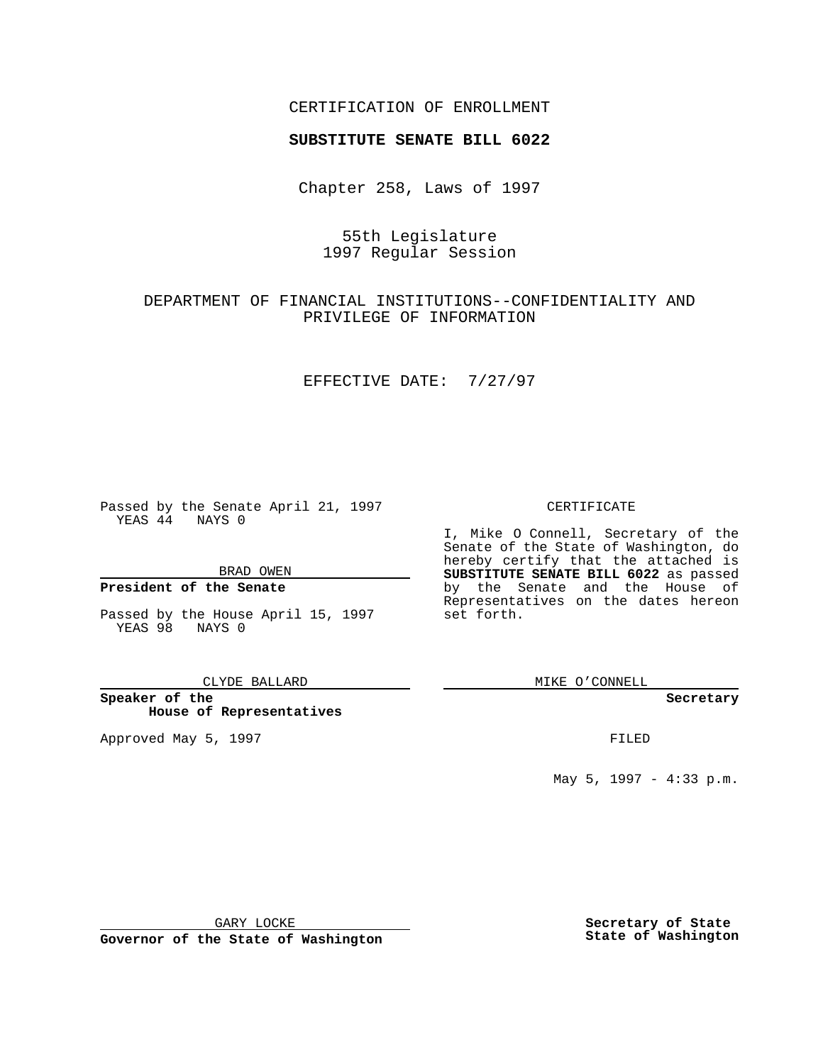## CERTIFICATION OF ENROLLMENT

# **SUBSTITUTE SENATE BILL 6022**

Chapter 258, Laws of 1997

# 55th Legislature 1997 Regular Session

## DEPARTMENT OF FINANCIAL INSTITUTIONS--CONFIDENTIALITY AND PRIVILEGE OF INFORMATION

### EFFECTIVE DATE: 7/27/97

Passed by the Senate April 21, 1997 YEAS 44 NAYS 0

BRAD OWEN

### **President of the Senate**

Passed by the House April 15, 1997 YEAS 98 NAYS 0

#### CLYDE BALLARD

**Speaker of the House of Representatives**

Approved May 5, 1997 **FILED** 

#### CERTIFICATE

I, Mike O Connell, Secretary of the Senate of the State of Washington, do hereby certify that the attached is **SUBSTITUTE SENATE BILL 6022** as passed by the Senate and the House of Representatives on the dates hereon set forth.

MIKE O'CONNELL

#### **Secretary**

May 5, 1997 - 4:33 p.m.

GARY LOCKE

**Governor of the State of Washington**

**Secretary of State State of Washington**